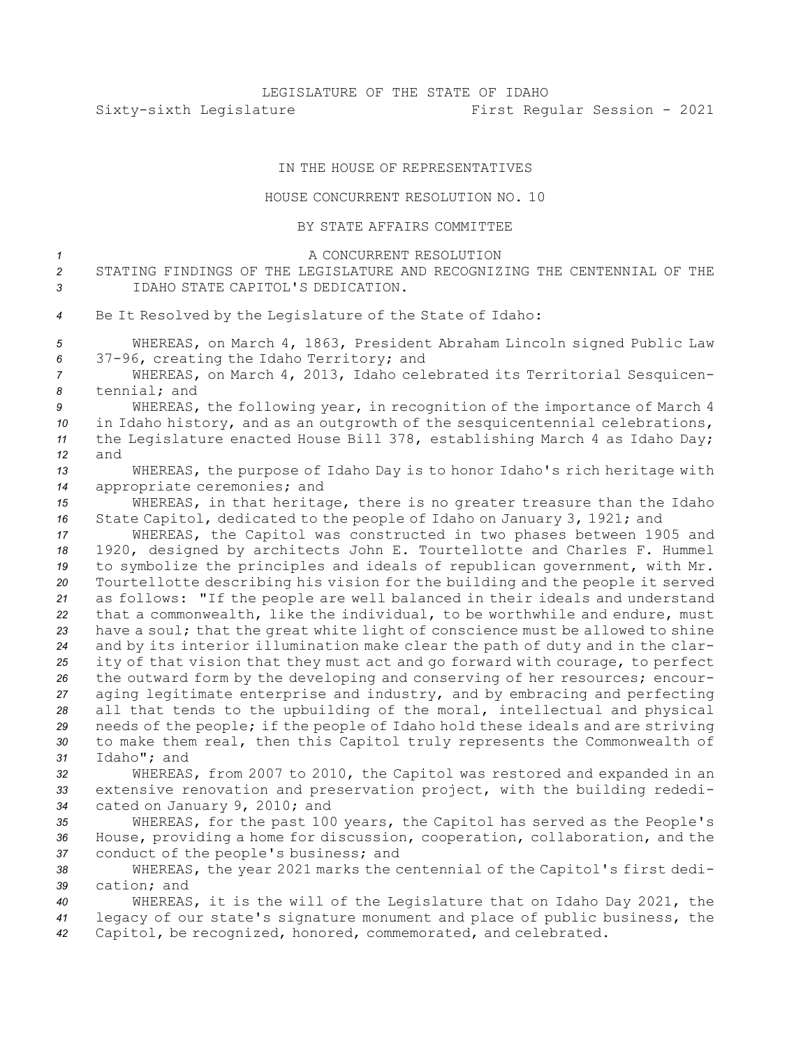## IN THE HOUSE OF REPRESENTATIVES

## HOUSE CONCURRENT RESOLUTION NO. 10

BY STATE AFFAIRS COMMITTEE

| $\mathcal I$   | A CONCURRENT RESOLUTION                                                        |
|----------------|--------------------------------------------------------------------------------|
| $\overline{c}$ | STATING FINDINGS OF THE LEGISLATURE AND RECOGNIZING THE CENTENNIAL OF THE      |
| 3              | IDAHO STATE CAPITOL'S DEDICATION.                                              |
| 4              | Be It Resolved by the Legislature of the State of Idaho:                       |
| 5              | WHEREAS, on March 4, 1863, President Abraham Lincoln signed Public Law         |
| 6              | 37-96, creating the Idaho Territory; and                                       |
| 7              | WHEREAS, on March 4, 2013, Idaho celebrated its Territorial Sesquicen-         |
| 8              | tennial; and                                                                   |
| 9              | WHEREAS, the following year, in recognition of the importance of March 4       |
| 10             | in Idaho history, and as an outgrowth of the sesquicentennial celebrations,    |
| 11             | the Legislature enacted House Bill 378, establishing March 4 as Idaho Day;     |
| 12             | and                                                                            |
| 13             | WHEREAS, the purpose of Idaho Day is to honor Idaho's rich heritage with       |
| 14             | appropriate ceremonies; and                                                    |
| 15             | WHEREAS, in that heritage, there is no greater treasure than the Idaho         |
| 16             | State Capitol, dedicated to the people of Idaho on January 3, 1921; and        |
| 17             | WHEREAS, the Capitol was constructed in two phases between 1905 and            |
| 18             | 1920, designed by architects John E. Tourtellotte and Charles F. Hummel        |
| 19             | to symbolize the principles and ideals of republican government, with Mr.      |
| 20             | Tourtellotte describing his vision for the building and the people it served   |
| 21             | as follows: "If the people are well balanced in their ideals and understand    |
| 22             | that a commonwealth, like the individual, to be worthwhile and endure, must    |
| 23             | have a soul; that the great white light of conscience must be allowed to shine |
| 24             | and by its interior illumination make clear the path of duty and in the clar-  |
| 25             | ity of that vision that they must act and go forward with courage, to perfect  |
| 26             | the outward form by the developing and conserving of her resources; encour-    |
| 27             | aging legitimate enterprise and industry, and by embracing and perfecting      |
| 28             | all that tends to the upbuilding of the moral, intellectual and physical       |
| 29             | needs of the people; if the people of Idaho hold these ideals and are striving |
| 30             | to make them real, then this Capitol truly represents the Commonwealth of      |
| 31             | Idaho"; and                                                                    |
| 32             | WHEREAS, from 2007 to 2010, the Capitol was restored and expanded in an        |
| 33             | extensive renovation and preservation project, with the building rededi-       |
| 34             | cated on January 9, 2010; and                                                  |
| 35             | WHEREAS, for the past 100 years, the Capitol has served as the People's        |
| 36             | House, providing a home for discussion, cooperation, collaboration, and the    |
| 37             | conduct of the people's business; and                                          |
| 38             | WHEREAS, the year 2021 marks the centennial of the Capitol's first dedi-       |
| 39             | cation; and                                                                    |
| 40             | WHEREAS, it is the will of the Legislature that on Idaho Day 2021, the         |
| 41             | legacy of our state's signature monument and place of public business, the     |
| 42             | Capitol, be recognized, honored, commemorated, and celebrated.                 |